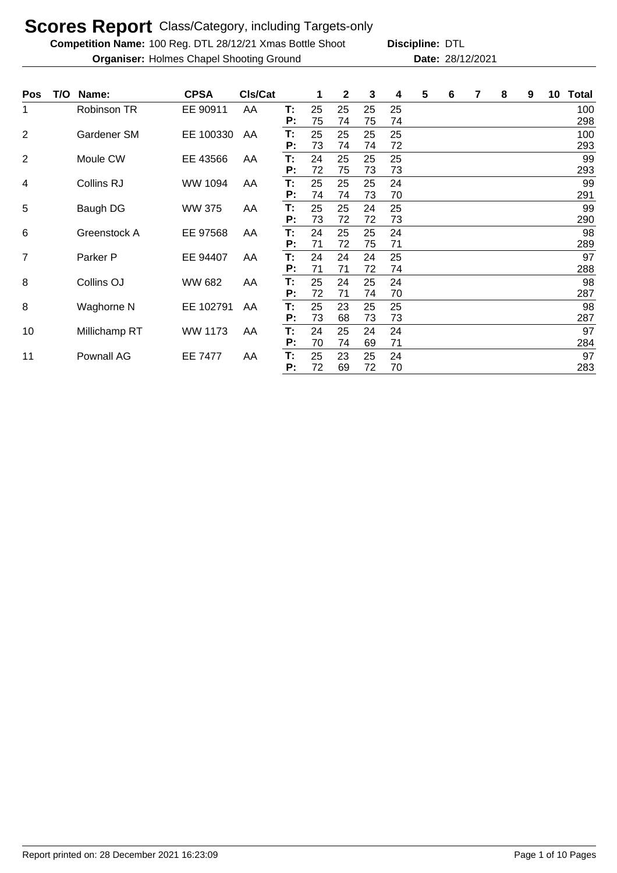**Competition Name:** 100 Reg. DTL 28/12/21 Xmas Bottle Shoot **Discipline: DTL Organiser:** Holmes Chapel Shooting Ground **28/12/2021 Date:** 28/12/2021

| Pos            | T/O | Name:               | <b>CPSA</b>    | CIs/Cat |          |          | $\mathbf{2}$ | 3        | 4        | 5 | 6 | 7 | 8 | 9 | 10 | <b>Total</b> |
|----------------|-----|---------------------|----------------|---------|----------|----------|--------------|----------|----------|---|---|---|---|---|----|--------------|
| 1              |     | Robinson TR         | EE 90911       | AA      | Т:<br>Р: | 25<br>75 | 25<br>74     | 25<br>75 | 25<br>74 |   |   |   |   |   |    | 100<br>298   |
| $\overline{2}$ |     | Gardener SM         | EE 100330      | AA      | Т:<br>P: | 25<br>73 | 25<br>74     | 25<br>74 | 25<br>72 |   |   |   |   |   |    | 100<br>293   |
| $\overline{2}$ |     | Moule CW            | EE 43566       | AA      | Т:<br>P: | 24<br>72 | 25<br>75     | 25<br>73 | 25<br>73 |   |   |   |   |   |    | 99<br>293    |
| 4              |     | Collins RJ          | <b>WW 1094</b> | AA      | Т:<br>P: | 25<br>74 | 25<br>74     | 25<br>73 | 24<br>70 |   |   |   |   |   |    | 99<br>291    |
| 5              |     | Baugh DG            | <b>WW 375</b>  | AA      | T:<br>Р: | 25<br>73 | 25<br>72     | 24<br>72 | 25<br>73 |   |   |   |   |   |    | 99<br>290    |
| 6              |     | Greenstock A        | EE 97568       | AA      | Т:<br>Р: | 24<br>71 | 25<br>72     | 25<br>75 | 24<br>71 |   |   |   |   |   |    | 98<br>289    |
| 7              |     | Parker <sub>P</sub> | EE 94407       | AA      | Т:<br>P: | 24<br>71 | 24<br>71     | 24<br>72 | 25<br>74 |   |   |   |   |   |    | 97<br>288    |
| 8              |     | Collins OJ          | <b>WW 682</b>  | AA      | Т:<br>P: | 25<br>72 | 24<br>71     | 25<br>74 | 24<br>70 |   |   |   |   |   |    | 98<br>287    |
| 8              |     | Waghorne N          | EE 102791      | AA      | Т:<br>P: | 25<br>73 | 23<br>68     | 25<br>73 | 25<br>73 |   |   |   |   |   |    | 98<br>287    |
| 10             |     | Millichamp RT       | <b>WW 1173</b> | AA      | T:<br>Р: | 24<br>70 | 25<br>74     | 24<br>69 | 24<br>71 |   |   |   |   |   |    | 97<br>284    |
| 11             |     | <b>Pownall AG</b>   | EE 7477        | AA      | T:<br>Р: | 25<br>72 | 23<br>69     | 25<br>72 | 24<br>70 |   |   |   |   |   |    | 97<br>283    |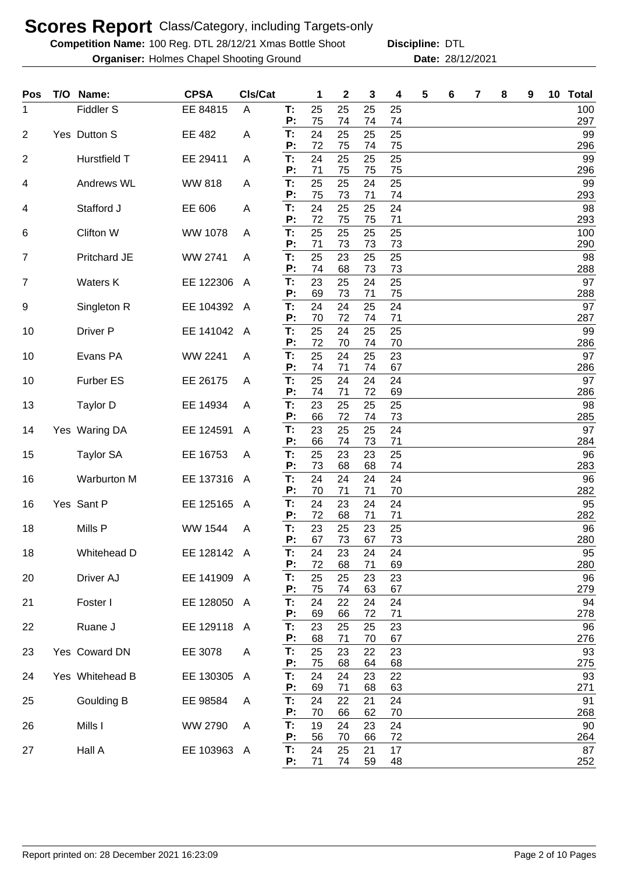**Competition Name:** 100 Reg. DTL 28/12/21 Xmas Bottle Shoot **Discipline: DTL Organiser:** Holmes Chapel Shooting Ground **28/12/2021 Date:** 28/12/2021

| Pos            | T/O | Name:               | <b>CPSA</b>    | CIs/Cat        |          | 1        | $\mathbf 2$ | 3        | 4        | 5 | 6 | 7 | 8 | 9 | 10 <sub>1</sub> | <b>Total</b> |
|----------------|-----|---------------------|----------------|----------------|----------|----------|-------------|----------|----------|---|---|---|---|---|-----------------|--------------|
| 1              |     | <b>Fiddler S</b>    | EE 84815       | A              | T:<br>P: | 25<br>75 | 25<br>74    | 25<br>74 | 25<br>74 |   |   |   |   |   |                 | 100<br>297   |
| $\overline{2}$ |     | Yes Dutton S        | EE 482         | Α              | T:<br>P: | 24<br>72 | 25<br>75    | 25<br>74 | 25<br>75 |   |   |   |   |   |                 | 99<br>296    |
| 2              |     | Hurstfield T        | EE 29411       | A              | T:<br>P: | 24<br>71 | 25<br>75    | 25<br>75 | 25<br>75 |   |   |   |   |   |                 | 99<br>296    |
| 4              |     | Andrews WL          | <b>WW 818</b>  | A              | T:       | 25       | 25          | 24       | 25       |   |   |   |   |   |                 | 99           |
| 4              |     | Stafford J          | EE 606         | A              | P:<br>T: | 75<br>24 | 73<br>25    | 71<br>25 | 74<br>24 |   |   |   |   |   |                 | 293<br>98    |
| 6              |     | Clifton W           | <b>WW 1078</b> | A              | P:<br>T: | 72<br>25 | 75<br>25    | 75<br>25 | 71<br>25 |   |   |   |   |   |                 | 293<br>100   |
| 7              |     | Pritchard JE        | WW 2741        | A              | P:<br>T: | 71<br>25 | 73<br>23    | 73<br>25 | 73<br>25 |   |   |   |   |   |                 | 290<br>98    |
| 7              |     | <b>Waters K</b>     | EE 122306      | A              | Р:<br>T: | 74<br>23 | 68<br>25    | 73<br>24 | 73<br>25 |   |   |   |   |   |                 | 288<br>97    |
| 9              |     | Singleton R         | EE 104392      | A              | P:<br>T: | 69<br>24 | 73<br>24    | 71<br>25 | 75<br>24 |   |   |   |   |   |                 | 288<br>97    |
| 10             |     | Driver <sub>P</sub> | EE 141042      | $\overline{A}$ | P:<br>T: | 70<br>25 | 72<br>24    | 74<br>25 | 71<br>25 |   |   |   |   |   |                 | 287<br>99    |
| 10             |     | Evans PA            | <b>WW 2241</b> | A              | P:<br>T: | 72<br>25 | 70<br>24    | 74<br>25 | 70<br>23 |   |   |   |   |   |                 | 286<br>97    |
|                |     |                     |                |                | P:       | 74       | 71          | 74       | 67       |   |   |   |   |   |                 | 286          |
| 10             |     | <b>Furber ES</b>    | EE 26175       | A              | T:<br>P: | 25<br>74 | 24<br>71    | 24<br>72 | 24<br>69 |   |   |   |   |   |                 | 97<br>286    |
| 13             |     | <b>Taylor D</b>     | EE 14934       | A              | T:<br>P: | 23<br>66 | 25<br>72    | 25<br>74 | 25<br>73 |   |   |   |   |   |                 | 98<br>285    |
| 14             |     | Yes Waring DA       | EE 124591      | A              | T:<br>P: | 23<br>66 | 25<br>74    | 25<br>73 | 24<br>71 |   |   |   |   |   |                 | 97<br>284    |
| 15             |     | <b>Taylor SA</b>    | EE 16753       | A              | T:       | 25       | 23          | 23       | 25       |   |   |   |   |   |                 | 96           |
| 16             |     | <b>Warburton M</b>  | EE 137316      | A              | P:<br>T: | 73<br>24 | 68<br>24    | 68<br>24 | 74<br>24 |   |   |   |   |   |                 | 283<br>96    |
| 16             |     | Yes Sant P          | EE 125165      | A              | P:<br>T: | 70<br>24 | 71<br>23    | 71<br>24 | 70<br>24 |   |   |   |   |   |                 | 282<br>95    |
| 18             |     | Mills P             | <b>WW 1544</b> | A              | P:<br>T: | 72<br>23 | 68<br>25    | 71<br>23 | 71<br>25 |   |   |   |   |   |                 | 282<br>96    |
| 18             |     | Whitehead D         | EE 128142 A    |                | P:<br>T: | 67<br>24 | 73<br>23    | 67<br>24 | 73<br>24 |   |   |   |   |   |                 | 280<br>95    |
|                |     |                     |                |                | P:       | 72       | 68          | 71       | 69       |   |   |   |   |   |                 | 280          |
| 20             |     | Driver AJ           | EE 141909 A    |                | T:<br>P: | 25<br>75 | 25<br>74    | 23<br>63 | 23<br>67 |   |   |   |   |   |                 | 96<br>279    |
| 21             |     | Foster I            | EE 128050 A    |                | T:<br>P: | 24<br>69 | 22<br>66    | 24<br>72 | 24<br>71 |   |   |   |   |   |                 | 94<br>278    |
| 22             |     | Ruane J             | EE 129118 A    |                | T:<br>P: | 23<br>68 | 25<br>71    | 25<br>70 | 23<br>67 |   |   |   |   |   |                 | 96<br>276    |
| 23             |     | Yes Coward DN       | EE 3078        | A              | T:       | 25       | 23          | 22       | 23       |   |   |   |   |   |                 | 93           |
| 24             |     | Yes Whitehead B     | EE 130305      | A              | P:<br>T: | 75<br>24 | 68<br>24    | 64<br>23 | 68<br>22 |   |   |   |   |   |                 | 275<br>93    |
| 25             |     | Goulding B          | EE 98584       | A              | P:<br>T: | 69<br>24 | 71<br>22    | 68<br>21 | 63<br>24 |   |   |   |   |   |                 | 271<br>91    |
| 26             |     | Mills I             | WW 2790        | A              | P:<br>T: | 70<br>19 | 66<br>24    | 62<br>23 | 70<br>24 |   |   |   |   |   |                 | 268<br>90    |
|                |     |                     |                |                | P:       | 56       | 70          | 66       | 72       |   |   |   |   |   |                 | 264          |
| 27             |     | Hall A              | EE 103963 A    |                | T:<br>P: | 24<br>71 | 25<br>74    | 21<br>59 | 17<br>48 |   |   |   |   |   |                 | 87<br>252    |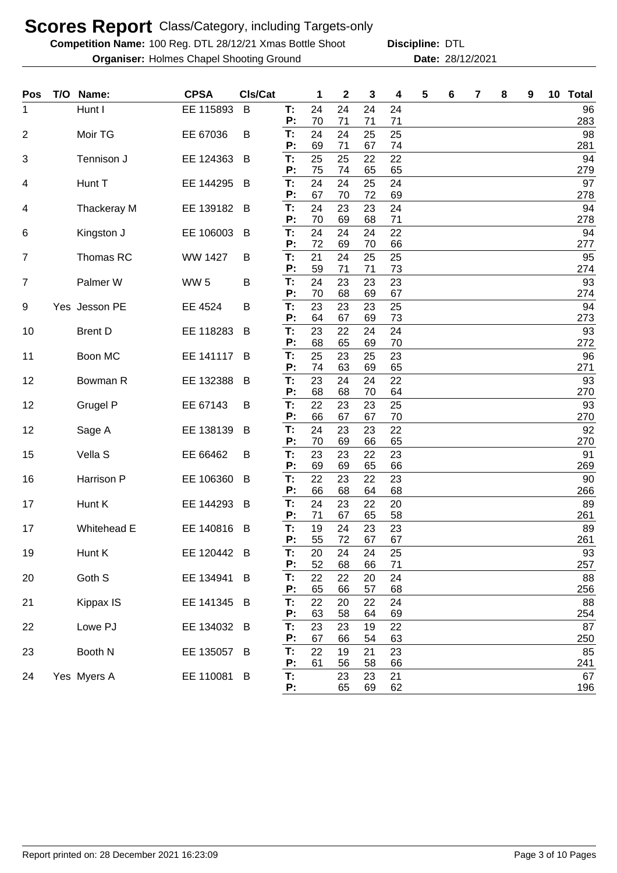**Competition Name:** 100 Reg. DTL 28/12/21 Xmas Bottle Shoot **Discipline: DTL Organiser:** Holmes Chapel Shooting Ground **28/12/2021 Date:** 28/12/2021

| Pos | T/O | Name:          | <b>CPSA</b>     | Cls/Cat |          | 1        | 2        | 3        | 4        | 5 | 6 | 7 | 8 | 9 | 10 <sup>°</sup> | <b>Total</b> |
|-----|-----|----------------|-----------------|---------|----------|----------|----------|----------|----------|---|---|---|---|---|-----------------|--------------|
| 1   |     | Hunt I         | EE 115893       | B       | T:       | 24       | 24       | 24       | 24       |   |   |   |   |   |                 | 96           |
|     |     |                |                 |         | P:       | 70       | 71       | 71       | 71       |   |   |   |   |   |                 | 283          |
| 2   |     | Moir TG        | EE 67036        | B       | T:<br>P: | 24<br>69 | 24<br>71 | 25<br>67 | 25<br>74 |   |   |   |   |   |                 | 98<br>281    |
| 3   |     | Tennison J     | EE 124363       | B       | T:       | 25       | 25       | 22       | 22       |   |   |   |   |   |                 | 94           |
|     |     |                |                 |         | P:       | 75       | 74       | 65       | 65       |   |   |   |   |   |                 | 279          |
| 4   |     | Hunt T         | EE 144295       | B       | T:       | 24       | 24       | 25       | 24       |   |   |   |   |   |                 | 97           |
| 4   |     | Thackeray M    | EE 139182       | B       | P:<br>T: | 67<br>24 | 70<br>23 | 72<br>23 | 69<br>24 |   |   |   |   |   |                 | 278<br>94    |
|     |     |                |                 |         | P:       | 70       | 69       | 68       | 71       |   |   |   |   |   |                 | 278          |
| 6   |     | Kingston J     | EE 106003       | B       | T:       | 24       | 24       | 24       | 22       |   |   |   |   |   |                 | 94           |
|     |     |                |                 |         | Р:       | 72       | 69       | 70       | 66       |   |   |   |   |   |                 | 277          |
| 7   |     | Thomas RC      | <b>WW 1427</b>  | B       | T:<br>P: | 21<br>59 | 24<br>71 | 25<br>71 | 25<br>73 |   |   |   |   |   |                 | 95<br>274    |
| 7   |     | Palmer W       | WW <sub>5</sub> | В       | T:       | 24       | 23       | 23       | 23       |   |   |   |   |   |                 | 93           |
|     |     |                |                 |         | P:       | 70       | 68       | 69       | 67       |   |   |   |   |   |                 | 274          |
| 9   |     | Yes Jesson PE  | EE 4524         | В       | T:       | 23       | 23       | 23       | 25       |   |   |   |   |   |                 | 94           |
|     |     |                |                 |         | Р:       | 64       | 67       | 69       | 73       |   |   |   |   |   |                 | 273          |
| 10  |     | <b>Brent D</b> | EE 118283       | B       | T:<br>P: | 23<br>68 | 22<br>65 | 24<br>69 | 24<br>70 |   |   |   |   |   |                 | 93<br>272    |
| 11  |     | Boon MC        | EE 141117       | B       | T:       | 25       | 23       | 25       | 23       |   |   |   |   |   |                 | 96           |
|     |     |                |                 |         | P:       | 74       | 63       | 69       | 65       |   |   |   |   |   |                 | 271          |
| 12  |     | Bowman R       | EE 132388       | B       | T:       | 23       | 24       | 24       | 22       |   |   |   |   |   |                 | 93           |
| 12  |     | Grugel P       | EE 67143        | B       | P:<br>T: | 68<br>22 | 68<br>23 | 70<br>23 | 64<br>25 |   |   |   |   |   |                 | 270<br>93    |
|     |     |                |                 |         | P:       | 66       | 67       | 67       | 70       |   |   |   |   |   |                 | 270          |
| 12  |     | Sage A         | EE 138139       | B       | T:       | 24       | 23       | 23       | 22       |   |   |   |   |   |                 | 92           |
|     |     |                |                 |         | P:       | 70       | 69       | 66       | 65       |   |   |   |   |   |                 | 270          |
| 15  |     | Vella S        | EE 66462        | B       | T:<br>P: | 23<br>69 | 23<br>69 | 22<br>65 | 23<br>66 |   |   |   |   |   |                 | 91<br>269    |
| 16  |     | Harrison P     | EE 106360       | B       | T:       | 22       | 23       | 22       | 23       |   |   |   |   |   |                 | 90           |
|     |     |                |                 |         | P:       | 66       | 68       | 64       | 68       |   |   |   |   |   |                 | 266          |
| 17  |     | Hunt K         | EE 144293       | B       | T:       | 24       | 23       | 22       | 20       |   |   |   |   |   |                 | 89           |
|     |     |                | EE 140816       |         | P:       | 71<br>19 | 67<br>24 | 65       | 58<br>23 |   |   |   |   |   |                 | 261<br>89    |
| 17  |     | Whitehead E    |                 | B       | T:<br>P: | 55       | 72       | 23<br>67 | 67       |   |   |   |   |   |                 | 261          |
| 19  |     | Hunt K         | EE 120442 B     |         | T:       | 20       | 24       | 24       | 25       |   |   |   |   |   |                 | 93           |
|     |     |                |                 |         | P:       | 52       | 68       | 66       | 71       |   |   |   |   |   |                 | 257          |
| 20  |     | Goth S         | EE 134941 B     |         | T:       | 22       | 22       | 20       | 24       |   |   |   |   |   |                 | 88           |
| 21  |     | Kippax IS      | EE 141345       | B       | P:<br>T: | 65<br>22 | 66<br>20 | 57<br>22 | 68<br>24 |   |   |   |   |   |                 | 256<br>88    |
|     |     |                |                 |         | P:       | 63       | 58       | 64       | 69       |   |   |   |   |   |                 | 254          |
| 22  |     | Lowe PJ        | EE 134032 B     |         | T:       | 23       | 23       | 19       | 22       |   |   |   |   |   |                 | 87           |
|     |     |                |                 |         | P:       | 67       | 66       | 54       | 63       |   |   |   |   |   |                 | 250          |
| 23  |     | Booth N        | EE 135057       | B       | T:<br>P: | 22<br>61 | 19<br>56 | 21<br>58 | 23<br>66 |   |   |   |   |   |                 | 85<br>241    |
| 24  |     | Yes Myers A    | EE 110081 B     |         | T:       |          | 23       | 23       | 21       |   |   |   |   |   |                 | 67           |
|     |     |                |                 |         | P:       |          | 65       | 69       | 62       |   |   |   |   |   |                 | 196          |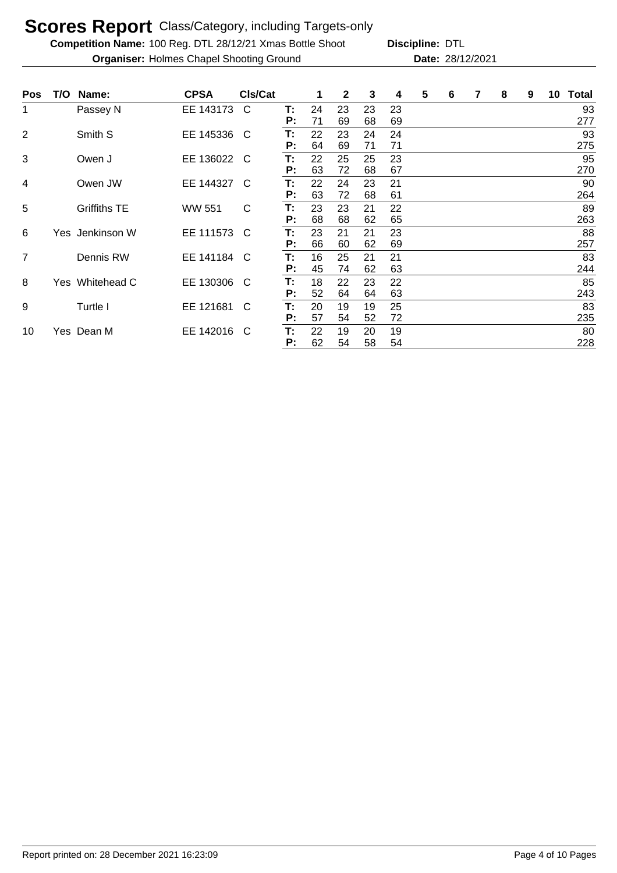**Competition Name:** 100 Reg. DTL 28/12/21 Xmas Bottle Shoot **Discipline: DTL Organiser:** Holmes Chapel Shooting Ground **28/12/2021 Date:** 28/12/2021

| <b>Pos</b> | T/O | Name:               | <b>CPSA</b>   | CIs/Cat      |          |          | $\mathbf{2}$ | 3        | 4        | 5 | 6 | 7 | 8 | 9 | 10 | <b>Total</b> |
|------------|-----|---------------------|---------------|--------------|----------|----------|--------------|----------|----------|---|---|---|---|---|----|--------------|
| 1          |     | Passey N            | EE 143173     | C            | Т:<br>P: | 24<br>71 | 23<br>69     | 23<br>68 | 23<br>69 |   |   |   |   |   |    | 93<br>277    |
| 2          |     | Smith S             | EE 145336     | C            | Т.<br>P: | 22<br>64 | 23<br>69     | 24<br>71 | 24<br>71 |   |   |   |   |   |    | 93<br>275    |
| 3          |     | Owen J              | EE 136022     | C            | т:<br>P: | 22<br>63 | 25<br>72     | 25<br>68 | 23<br>67 |   |   |   |   |   |    | 95<br>270    |
| 4          |     | Owen JW             | EE 144327     | C            | Т:<br>P: | 22<br>63 | 24<br>72     | 23<br>68 | 21<br>61 |   |   |   |   |   |    | 90<br>264    |
| 5          |     | <b>Griffiths TE</b> | <b>WW 551</b> | $\mathsf{C}$ | Т:<br>Р: | 23<br>68 | 23<br>68     | 21<br>62 | 22<br>65 |   |   |   |   |   |    | 89<br>263    |
| 6          |     | Yes Jenkinson W     | EE 111573     | C            | Т:<br>P: | 23<br>66 | 21<br>60     | 21<br>62 | 23<br>69 |   |   |   |   |   |    | 88<br>257    |
| 7          |     | Dennis RW           | EE 141184     | C            | т:<br>P: | 16<br>45 | 25<br>74     | 21<br>62 | 21<br>63 |   |   |   |   |   |    | 83<br>244    |
| 8          |     | Yes Whitehead C     | EE 130306     | C            | T:<br>P: | 18<br>52 | 22<br>64     | 23<br>64 | 22<br>63 |   |   |   |   |   |    | 85<br>243    |
| 9          |     | Turtle I            | EE 121681     | C            | Т.<br>Р: | 20<br>57 | 19<br>54     | 19<br>52 | 25<br>72 |   |   |   |   |   |    | 83<br>235    |
| 10         |     | Yes Dean M          | EE 142016     | C            | Т.<br>Р: | 22<br>62 | 19<br>54     | 20<br>58 | 19<br>54 |   |   |   |   |   |    | 80<br>228    |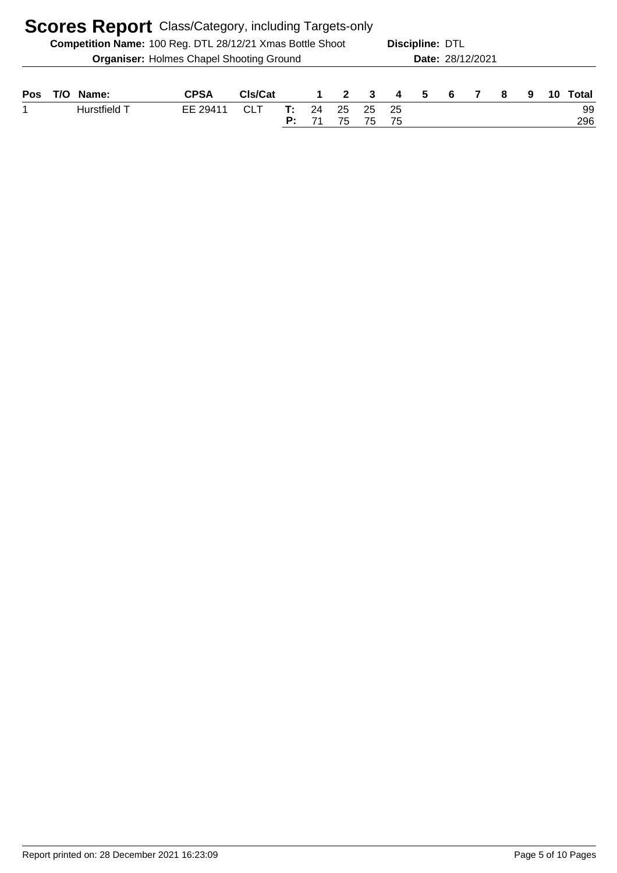|     |     |              | <b>Scores Report</b> Class/Category, including Targets-only |            |    |              |                         |     |     |                 |   |                  |    |   |    |       |
|-----|-----|--------------|-------------------------------------------------------------|------------|----|--------------|-------------------------|-----|-----|-----------------|---|------------------|----|---|----|-------|
|     |     |              | Competition Name: 100 Reg. DTL 28/12/21 Xmas Bottle Shoot   |            |    |              |                         |     |     | Discipline: DTL |   |                  |    |   |    |       |
|     |     |              | <b>Organiser: Holmes Chapel Shooting Ground</b>             |            |    |              |                         |     |     |                 |   | Date: 28/12/2021 |    |   |    |       |
|     |     |              |                                                             |            |    |              |                         |     |     |                 |   |                  |    |   |    |       |
| Pos | 17O | Name:        | <b>CPSA</b>                                                 | Cls/Cat    |    | $\mathbf{1}$ | $\overline{\mathbf{2}}$ | - 3 | 4 5 |                 | 6 | <b>7</b>         | -8 | 9 | 10 | Total |
| 1   |     | Hurstfield T | EE 29411                                                    | <b>CLT</b> | т: | 24           | 25                      | 25  | -25 |                 |   |                  |    |   |    | 99    |
|     |     |              |                                                             |            | P: |              | 75                      | 75  | 75  |                 |   |                  |    |   |    | 296   |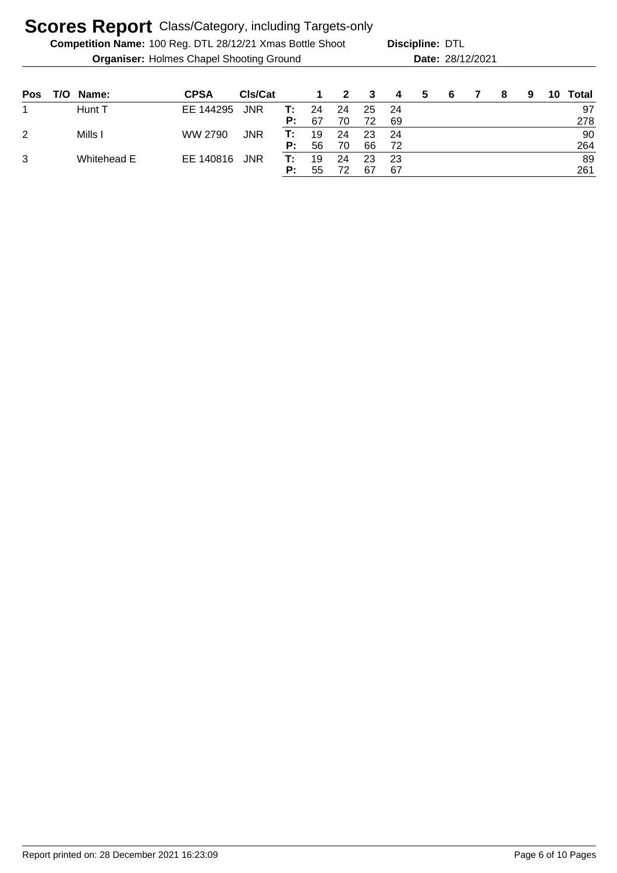**Competition Name:** 100 Reg. DTL 28/12/21 Xmas Bottle Shoot **Discipline: DTL Organiser:** Holmes Chapel Shooting Ground **28/12/2021 Date:** 28/12/2021

| <b>Pos</b> | T/O | Name:       | <b>CPSA</b> | CIs/Cat    |    |    | $\mathbf{2}$ | - 3 | 4   | 5 | - 6 | 8 | 9 | 10 Total |
|------------|-----|-------------|-------------|------------|----|----|--------------|-----|-----|---|-----|---|---|----------|
|            |     | Hunt T      | EE 144295   | <b>JNR</b> | т: | 24 | 24           | 25  | -24 |   |     |   |   | 97       |
|            |     |             |             |            | P: | 67 | 70           | 72  | 69  |   |     |   |   | 278      |
| 2          |     | Mills I     | WW 2790     | <b>JNR</b> | т: | 19 | 24           | 23  | -24 |   |     |   |   | 90       |
|            |     |             |             |            | P: | 56 | 70           | 66  | -72 |   |     |   |   | 264      |
| 3          |     | Whitehead E | EE 140816   | <b>JNR</b> | т: | 19 | 24           | 23  | -23 |   |     |   |   | 89       |
|            |     |             |             |            | P: | 55 | 72           | 67  | 67  |   |     |   |   | 261      |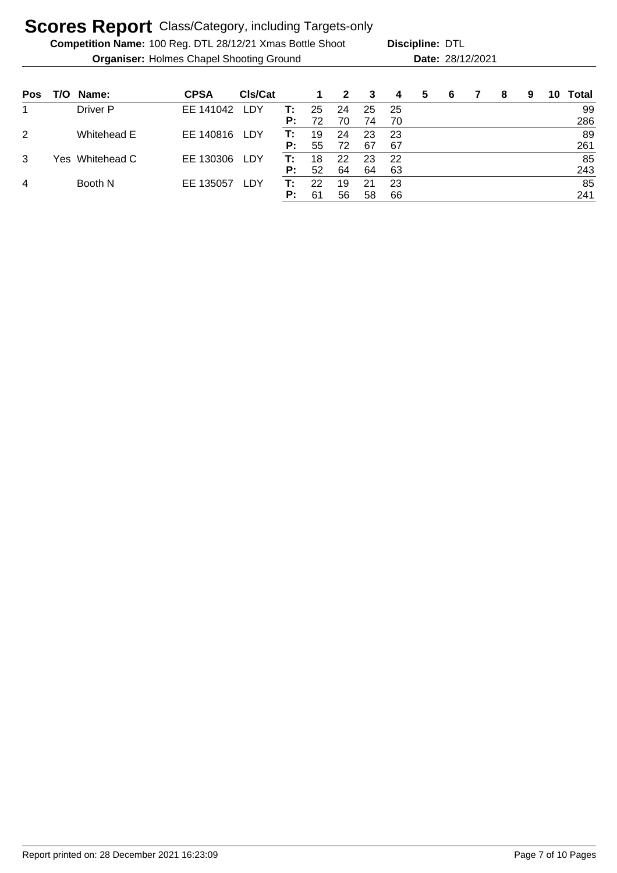**Competition Name:** 100 Reg. DTL 28/12/21 Xmas Bottle Shoot **Discipline: DTL Organiser:** Holmes Chapel Shooting Ground **28/12/2021 Date:** 28/12/2021

| Pos            | T/O | Name:           | <b>CPSA</b> | CIs/Cat |          |          | $\mathbf{2}$ | -3       | 4         | 5 | -6 | 8 | 9 | 10 | Total     |
|----------------|-----|-----------------|-------------|---------|----------|----------|--------------|----------|-----------|---|----|---|---|----|-----------|
| 1              |     | Driver P        | EE 141042   | LDY     | Т:<br>P: | 25<br>72 | 24<br>70     | 25<br>74 | -25<br>70 |   |    |   |   |    | 99<br>286 |
| $\overline{2}$ |     | Whitehead E     | EE 140816   | LDY     | т:<br>P. | 19<br>55 | 24<br>72     | 23<br>67 | 23<br>67  |   |    |   |   |    | 89<br>261 |
| 3              |     | Yes Whitehead C | EE 130306   | LDY     | т:<br>P: | 18<br>52 | 22<br>64     | 23<br>64 | 22<br>63  |   |    |   |   |    | 85<br>243 |
| 4              |     | Booth N         | EE 135057   | LDY     | т:<br>P: | 22<br>61 | 19<br>56     | 58       | 23<br>66  |   |    |   |   |    | 85<br>241 |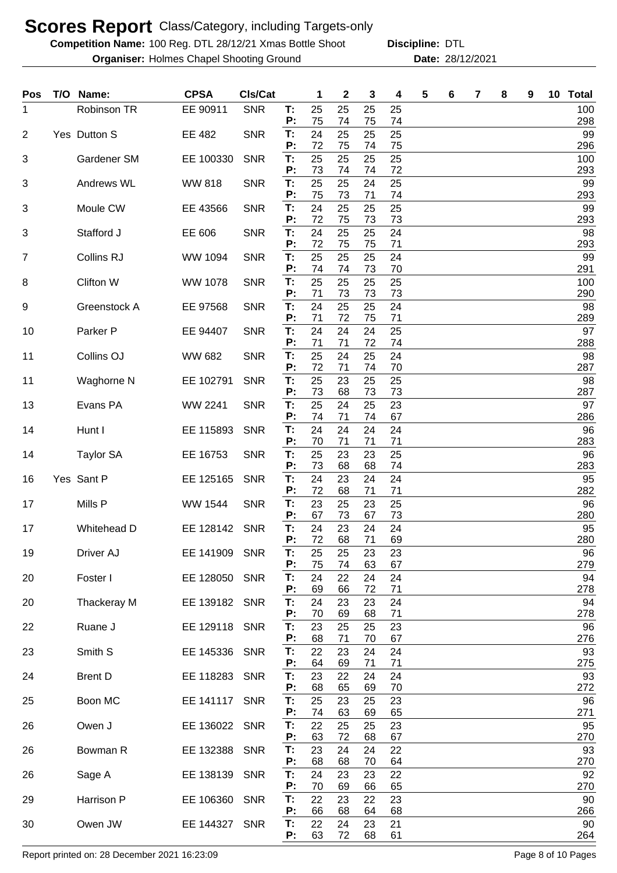**Competition Name:** 100 Reg. DTL 28/12/21 Xmas Bottle Shoot **Discipline: DTL Organiser:** Holmes Chapel Shooting Ground **28/12/2021 Date:** 28/12/2021

**Discipline:**

| Pos            | T/O | Name:            | <b>CPSA</b>    | <b>CIs/Cat</b> |          | 1        | 2        | 3        | 4        | 5 | 6 | 7 | 8 | 9 | 10 Total   |
|----------------|-----|------------------|----------------|----------------|----------|----------|----------|----------|----------|---|---|---|---|---|------------|
| 1              |     | Robinson TR      | EE 90911       | <b>SNR</b>     | T:<br>Ρ: | 25<br>75 | 25<br>74 | 25<br>75 | 25<br>74 |   |   |   |   |   | 100<br>298 |
| $\overline{2}$ |     | Yes Dutton S     | EE 482         | <b>SNR</b>     | T:       | 24       | 25       | 25       | 25       |   |   |   |   |   | 99         |
| 3              |     | Gardener SM      | EE 100330      | <b>SNR</b>     | P:<br>T: | 72<br>25 | 75<br>25 | 74<br>25 | 75<br>25 |   |   |   |   |   | 296<br>100 |
| 3              |     | Andrews WL       | <b>WW 818</b>  | <b>SNR</b>     | P:<br>T: | 73<br>25 | 74<br>25 | 74<br>24 | 72<br>25 |   |   |   |   |   | 293<br>99  |
|                |     |                  |                |                | P:       | 75       | 73       | 71       | 74       |   |   |   |   |   | 293        |
| 3              |     | Moule CW         | EE 43566       | <b>SNR</b>     | T:<br>Ρ. | 24<br>72 | 25<br>75 | 25<br>73 | 25<br>73 |   |   |   |   |   | 99<br>293  |
| 3              |     | Stafford J       | EE 606         | <b>SNR</b>     | T:<br>P: | 24<br>72 | 25<br>75 | 25<br>75 | 24<br>71 |   |   |   |   |   | 98<br>293  |
| $\overline{7}$ |     | Collins RJ       | WW 1094        | <b>SNR</b>     | T:       | 25       | 25       | 25       | 24       |   |   |   |   |   | 99         |
| 8              |     | Clifton W        | <b>WW 1078</b> | <b>SNR</b>     | P:<br>T: | 74<br>25 | 74<br>25 | 73<br>25 | 70<br>25 |   |   |   |   |   | 291<br>100 |
| 9              |     | Greenstock A     | EE 97568       | <b>SNR</b>     | P:<br>T: | 71<br>24 | 73<br>25 | 73<br>25 | 73<br>24 |   |   |   |   |   | 290<br>98  |
|                |     |                  |                |                | P:       | 71       | 72       | 75       | 71       |   |   |   |   |   | 289        |
| 10             |     | Parker P         | EE 94407       | <b>SNR</b>     | T:<br>Ρ: | 24<br>71 | 24<br>71 | 24<br>72 | 25<br>74 |   |   |   |   |   | 97<br>288  |
| 11             |     | Collins OJ       | WW 682         | <b>SNR</b>     | T:<br>Ρ: | 25<br>72 | 24<br>71 | 25<br>74 | 24<br>70 |   |   |   |   |   | 98         |
| 11             |     | Waghorne N       | EE 102791      | <b>SNR</b>     | T:       | 25       | 23       | 25       | 25       |   |   |   |   |   | 287<br>98  |
| 13             |     | Evans PA         | <b>WW 2241</b> | <b>SNR</b>     | P:<br>T: | 73<br>25 | 68<br>24 | 73<br>25 | 73<br>23 |   |   |   |   |   | 287<br>97  |
|                |     |                  |                |                | P:       | 74       | 71       | 74       | 67       |   |   |   |   |   | 286        |
| 14             |     | Hunt I           | EE 115893      | <b>SNR</b>     | T:<br>Ρ: | 24<br>70 | 24<br>71 | 24<br>71 | 24<br>71 |   |   |   |   |   | 96<br>283  |
| 14             |     | <b>Taylor SA</b> | EE 16753       | <b>SNR</b>     | T:<br>P: | 25<br>73 | 23<br>68 | 23<br>68 | 25<br>74 |   |   |   |   |   | 96<br>283  |
| 16             |     | Yes Sant P       | EE 125165      | <b>SNR</b>     | T:       | 24       | 23       | 24       | 24       |   |   |   |   |   | 95         |
| 17             |     | Mills P          | <b>WW 1544</b> | <b>SNR</b>     | Р:<br>T: | 72<br>23 | 68<br>25 | 71<br>23 | 71<br>25 |   |   |   |   |   | 282<br>96  |
|                |     |                  |                |                | P:       | 67       | 73       | 67       | 73       |   |   |   |   |   | 280        |
| 17             |     | Whitehead D      | EE 128142      | <b>SNR</b>     | T:<br>P: | 24<br>72 | 23<br>68 | 24<br>71 | 24<br>69 |   |   |   |   |   | 95<br>280  |
| 19             |     | Driver AJ        | EE 141909      | <b>SNR</b>     | T:<br>P: | 25<br>75 | 25<br>74 | 23<br>63 | 23<br>67 |   |   |   |   |   | 96<br>279  |
| 20             |     | Foster I         | EE 128050      | <b>SNR</b>     | T:       | 24       | 22       | 24       | 24       |   |   |   |   |   | 94         |
| 20             |     | Thackeray M      | EE 139182 SNR  |                | Р:<br>T: | 69<br>24 | 66<br>23 | 72<br>23 | 71<br>24 |   |   |   |   |   | 278<br>94  |
| 22             |     | Ruane J          | EE 129118 SNR  |                | Ρ:<br>T: | 70<br>23 | 69<br>25 | 68<br>25 | 71<br>23 |   |   |   |   |   | 278<br>96  |
|                |     |                  |                |                | Ρ:       | 68       | 71       | 70       | 67       |   |   |   |   |   | 276        |
| 23             |     | Smith S          | EE 145336      | <b>SNR</b>     | T:<br>Ρ: | 22<br>64 | 23<br>69 | 24<br>71 | 24<br>71 |   |   |   |   |   | 93<br>275  |
| 24             |     | <b>Brent D</b>   | EE 118283 SNR  |                | Т:<br>Ρ: | 23<br>68 | 22<br>65 | 24<br>69 | 24<br>70 |   |   |   |   |   | 93<br>272  |
| 25             |     | Boon MC          | EE 141117 SNR  |                | T:       | 25       | 23       | 25       | 23       |   |   |   |   |   | 96         |
| 26             |     | Owen J           | EE 136022 SNR  |                | Ρ.<br>T: | 74<br>22 | 63<br>25 | 69<br>25 | 65<br>23 |   |   |   |   |   | 271<br>95  |
|                |     |                  |                |                | P:       | 63       | 72       | 68       | 67       |   |   |   |   |   | 270        |
| 26             |     | Bowman R         | EE 132388 SNR  |                | T:<br>P: | 23<br>68 | 24<br>68 | 24<br>70 | 22<br>64 |   |   |   |   |   | 93<br>270  |
| 26             |     | Sage A           | EE 138139      | <b>SNR</b>     | T:<br>P: | 24<br>70 | 23<br>69 | 23<br>66 | 22<br>65 |   |   |   |   |   | 92<br>270  |
| 29             |     | Harrison P       | EE 106360      | <b>SNR</b>     | T:       | 22       | 23       | 22       | 23       |   |   |   |   |   | 90         |
| 30             |     | Owen JW          | EE 144327 SNR  |                | P:<br>T: | 66<br>22 | 68<br>24 | 64<br>23 | 68<br>21 |   |   |   |   |   | 266<br>90  |
|                |     |                  |                |                | Ρ.       | 63       | 72       | 68       | 61       |   |   |   |   |   | 264        |

Report printed on: 28 December 2021 16:23:09 Page 8 of 10 Pages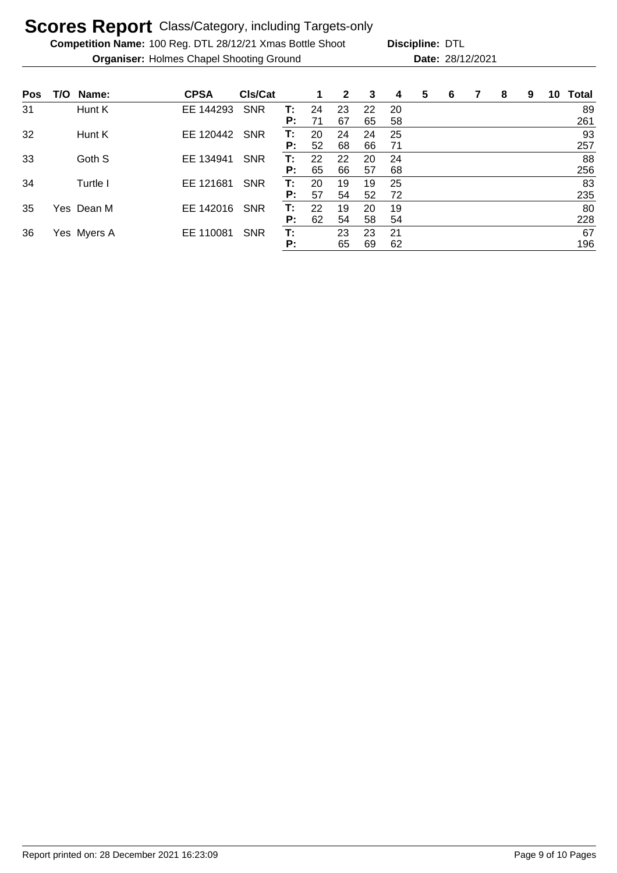**Competition Name:** 100 Reg. DTL 28/12/21 Xmas Bottle Shoot **Discipline: DTL Organiser:** Holmes Chapel Shooting Ground **28/12/2021 Date:** 28/12/2021

| <b>Pos</b> | T/O Name:   | <b>CPSA</b> | CIs/Cat    |    | 1  | 2  | 3  | 4  | 5 | 6 | 8 | 9 | 10 | <b>Total</b> |
|------------|-------------|-------------|------------|----|----|----|----|----|---|---|---|---|----|--------------|
| 31         | Hunt K      | EE 144293   | <b>SNR</b> | т: | 24 | 23 | 22 | 20 |   |   |   |   |    | 89           |
|            |             |             |            | P: | 71 | 67 | 65 | 58 |   |   |   |   |    | 261          |
| 32         | Hunt K      | EE 120442   | <b>SNR</b> | Т: | 20 | 24 | 24 | 25 |   |   |   |   |    | 93           |
|            |             |             |            | P: | 52 | 68 | 66 | 71 |   |   |   |   |    | 257          |
| 33         | Goth S      | EE 134941   | <b>SNR</b> | т: | 22 | 22 | 20 | 24 |   |   |   |   |    | 88           |
|            |             |             |            | P: | 65 | 66 | 57 | 68 |   |   |   |   |    | 256          |
| 34         | Turtle I    | EE 121681   | <b>SNR</b> | т: | 20 | 19 | 19 | 25 |   |   |   |   |    | 83           |
|            |             |             |            | P: | 57 | 54 | 52 | 72 |   |   |   |   |    | 235          |
| 35         | Yes Dean M  | EE 142016   | <b>SNR</b> | Т: | 22 | 19 | 20 | 19 |   |   |   |   |    | 80           |
|            |             |             |            | P: | 62 | 54 | 58 | 54 |   |   |   |   |    | 228          |
| 36         | Yes Myers A | EE 110081   | <b>SNR</b> | Т: |    | 23 | 23 | 21 |   |   |   |   |    | 67           |
|            |             |             |            | P: |    | 65 | 69 | 62 |   |   |   |   |    | 196          |